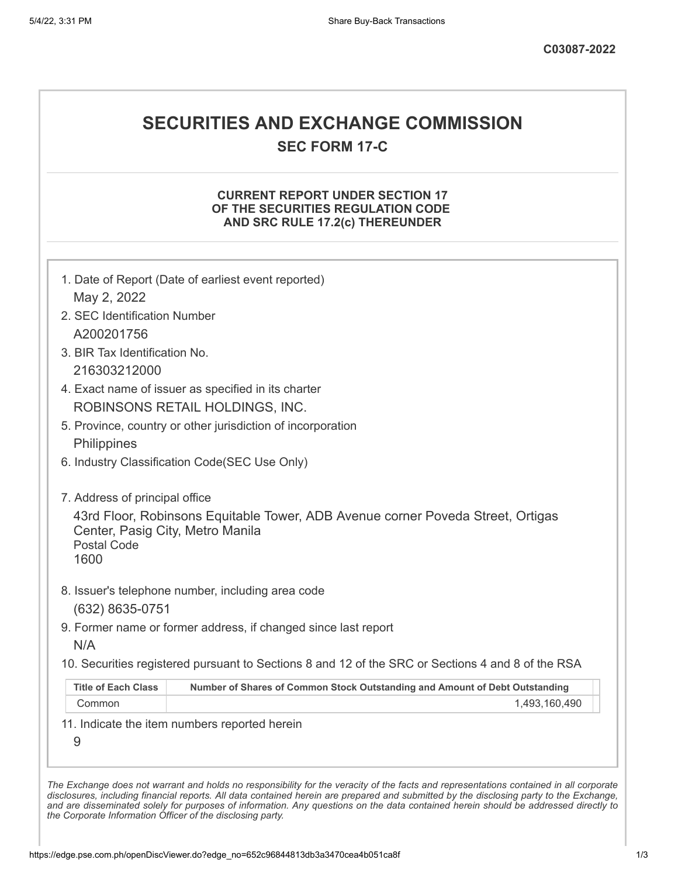## **SECURITIES AND EXCHANGE COMMISSION**

**SEC FORM 17-C**

#### **CURRENT REPORT UNDER SECTION 17 OF THE SECURITIES REGULATION CODE AND SRC RULE 17.2(c) THEREUNDER**

| 2. SEC Identification Number                                   |                                                                                                   |
|----------------------------------------------------------------|---------------------------------------------------------------------------------------------------|
| A200201756                                                     |                                                                                                   |
| 3. BIR Tax Identification No.                                  |                                                                                                   |
| 216303212000                                                   |                                                                                                   |
|                                                                | 4. Exact name of issuer as specified in its charter                                               |
|                                                                | ROBINSONS RETAIL HOLDINGS, INC.                                                                   |
|                                                                | 5. Province, country or other jurisdiction of incorporation                                       |
| Philippines                                                    |                                                                                                   |
|                                                                | 6. Industry Classification Code(SEC Use Only)                                                     |
| 7. Address of principal office                                 |                                                                                                   |
| Center, Pasig City, Metro Manila<br><b>Postal Code</b><br>1600 | 43rd Floor, Robinsons Equitable Tower, ADB Avenue corner Poveda Street, Ortigas                   |
|                                                                | 8. Issuer's telephone number, including area code                                                 |
| (632) 8635-0751                                                |                                                                                                   |
| N/A                                                            | 9. Former name or former address, if changed since last report                                    |
|                                                                | 10. Securities registered pursuant to Sections 8 and 12 of the SRC or Sections 4 and 8 of the RSA |
|                                                                |                                                                                                   |
| <b>Title of Each Class</b>                                     | Number of Shares of Common Stock Outstanding and Amount of Debt Outstanding                       |
| Common                                                         | 1,493,160,490                                                                                     |

*the Corporate Information Officer of the disclosing party.*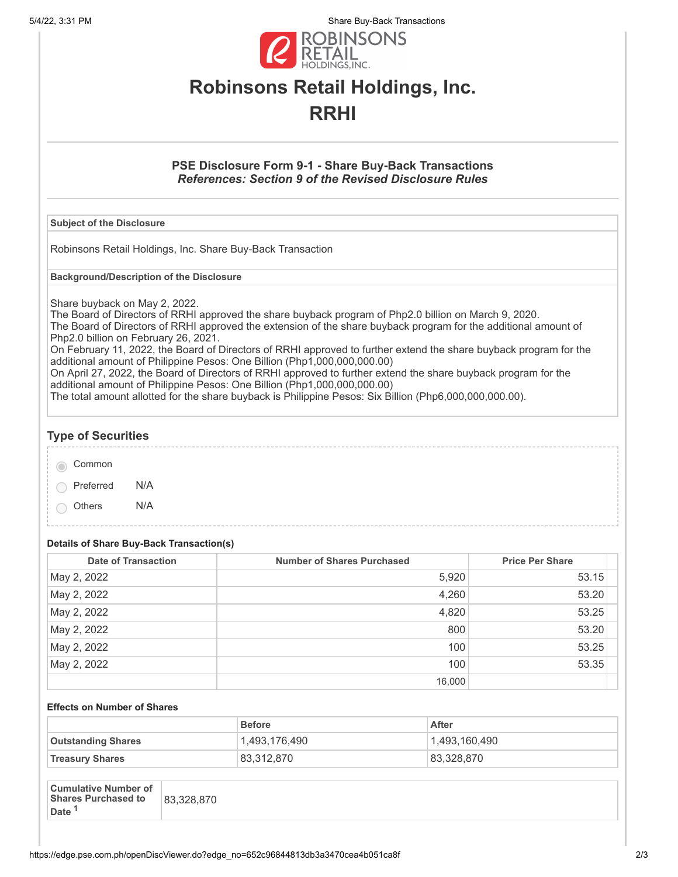5/4/22, 3:31 PM Share Buy-Back Transactions



# **Robinsons Retail Holdings, Inc. RRHI**

#### **PSE Disclosure Form 9-1 - Share Buy-Back Transactions** *References: Section 9 of the Revised Disclosure Rules*

#### **Subject of the Disclosure**

Robinsons Retail Holdings, Inc. Share Buy-Back Transaction

**Background/Description of the Disclosure**

Share buyback on May 2, 2022.

The Board of Directors of RRHI approved the share buyback program of Php2.0 billion on March 9, 2020. The Board of Directors of RRHI approved the extension of the share buyback program for the additional amount of Php2.0 billion on February 26, 2021.

On February 11, 2022, the Board of Directors of RRHI approved to further extend the share buyback program for the additional amount of Philippine Pesos: One Billion (Php1,000,000,000.00)

On April 27, 2022, the Board of Directors of RRHI approved to further extend the share buyback program for the additional amount of Philippine Pesos: One Billion (Php1,000,000,000.00)

The total amount allotted for the share buyback is Philippine Pesos: Six Billion (Php6,000,000,000.00).

# **Type of Securities**

Common

Preferred N/A

Others N/A

### **Details of Share Buy-Back Transaction(s)**

| <b>Date of Transaction</b> | <b>Number of Shares Purchased</b> | <b>Price Per Share</b> |
|----------------------------|-----------------------------------|------------------------|
| May 2, 2022                | 5,920                             | 53.15                  |
| May 2, 2022                | 4,260                             | 53.20                  |
| May 2, 2022                | 4,820                             | 53.25                  |
| May 2, 2022                | 800                               | 53.20                  |
| May 2, 2022                | 100                               | 53.25                  |
| May 2, 2022                | 100                               | 53.35                  |
|                            | 16,000                            |                        |

#### **Effects on Number of Shares**

|                           | <b>Before</b> | <b>After</b>  |
|---------------------------|---------------|---------------|
| <b>Outstanding Shares</b> | 1,493,176,490 | 1,493,160,490 |
| <b>Treasury Shares</b>    | 83,312,870    | 83,328,870    |

| <b>Cumulative Number of</b><br><b>Shares Purchased to</b><br><b>Date</b> | 83,328,870 |
|--------------------------------------------------------------------------|------------|
|--------------------------------------------------------------------------|------------|